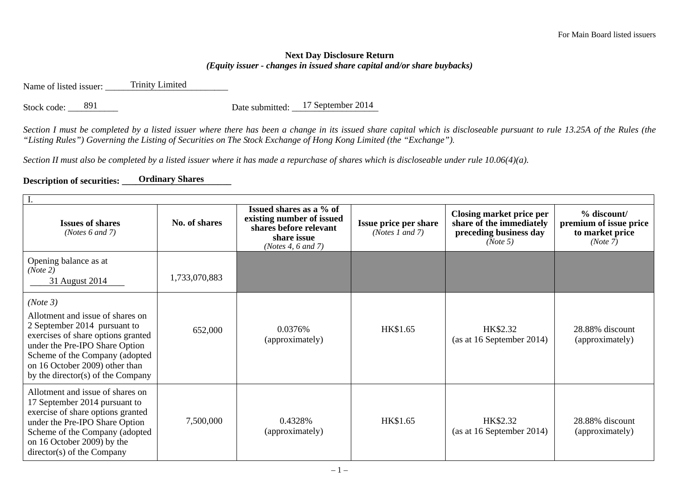## **Next Day Disclosure Return**  *(Equity issuer - changes in issued share capital and/or share buybacks)*

Name of listed issuer: Trinity Limited

Stock code:  $891$  Date submitted:  $17$  September 2014

*Section I must be completed by a listed issuer where there has been a change in its issued share capital which is discloseable pursuant to rule 13.25A of the Rules (the "Listing Rules") Governing the Listing of Securities on The Stock Exchange of Hong Kong Limited (the "Exchange").* 

*Section II must also be completed by a listed issuer where it has made a repurchase of shares which is discloseable under rule 10.06(4)(a).* 

## **Description of securities: \_\_\_\_\_\_\_\_\_\_ Ordinary Shares \_\_\_\_\_\_\_\_\_\_\_\_\_\_**

| <b>Issues of shares</b><br>(Notes $6$ and $7$ )                                                                                                                                                                                                               | No. of shares | Issued shares as a % of<br>existing number of issued<br>shares before relevant<br>share issue<br>(Notes 4, 6 and 7) | Issue price per share<br>( <i>Notes 1 and 7</i> ) | Closing market price per<br>share of the immediately<br>preceding business day<br>(Note 5) | % discount/<br>premium of issue price<br>to market price<br>(Note 7) |  |  |
|---------------------------------------------------------------------------------------------------------------------------------------------------------------------------------------------------------------------------------------------------------------|---------------|---------------------------------------------------------------------------------------------------------------------|---------------------------------------------------|--------------------------------------------------------------------------------------------|----------------------------------------------------------------------|--|--|
| Opening balance as at<br>(Note 2)<br>31 August 2014                                                                                                                                                                                                           | 1,733,070,883 |                                                                                                                     |                                                   |                                                                                            |                                                                      |  |  |
| (Note 3)<br>Allotment and issue of shares on<br>2 September 2014 pursuant to<br>exercises of share options granted<br>under the Pre-IPO Share Option<br>Scheme of the Company (adopted<br>on 16 October 2009) other than<br>by the director(s) of the Company | 652,000       | 0.0376%<br>(approximately)                                                                                          | HK\$1.65                                          | HK\$2.32<br>(as at 16 September 2014)                                                      | 28.88% discount<br>(approximately)                                   |  |  |
| Allotment and issue of shares on<br>17 September 2014 pursuant to<br>exercise of share options granted<br>under the Pre-IPO Share Option<br>Scheme of the Company (adopted<br>on 16 October 2009) by the<br>$directory(s)$ of the Company                     | 7,500,000     | 0.4328%<br>(approximately)                                                                                          | HK\$1.65                                          | HK\$2.32<br>(as at 16 September 2014)                                                      | 28.88% discount<br>(approximately)                                   |  |  |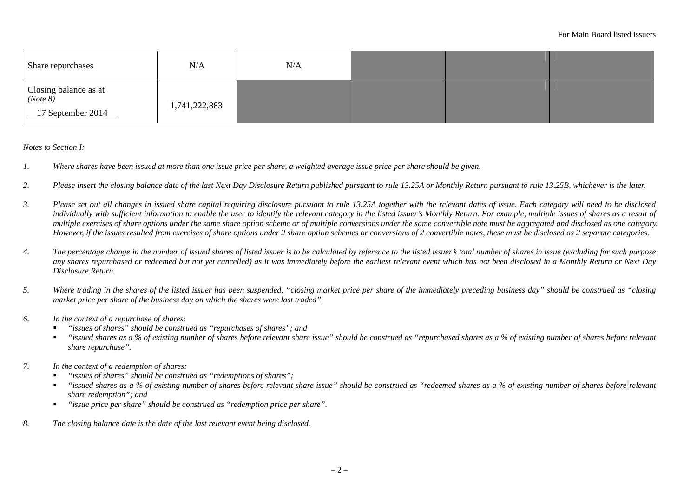| Share repurchases                                     | N/A           | N/A |  |  |
|-------------------------------------------------------|---------------|-----|--|--|
| Closing balance as at $(Note 8)$<br>17 September 2014 | 1,741,222,883 |     |  |  |

*Notes to Section I:* 

- *1. Where shares have been issued at more than one issue price per share, a weighted average issue price per share should be given.*
- *2. Please insert the closing balance date of the last Next Day Disclosure Return published pursuant to rule 13.25A or Monthly Return pursuant to rule 13.25B, whichever is the later.*
- *3. Please set out all changes in issued share capital requiring disclosure pursuant to rule 13.25A together with the relevant dates of issue. Each category will need to be disclosed*  individually with sufficient information to enable the user to identify the relevant category in the listed issuer's Monthly Return. For example, multiple issues of shares as a result of *multiple exercises of share options under the same share option scheme or of multiple conversions under the same convertible note must be aggregated and disclosed as one category. However, if the issues resulted from exercises of share options under 2 share option schemes or conversions of 2 convertible notes, these must be disclosed as 2 separate categories.*
- *4. The percentage change in the number of issued shares of listed issuer is to be calculated by reference to the listed issuer's total number of shares in issue (excluding for such purpose any shares repurchased or redeemed but not yet cancelled) as it was immediately before the earliest relevant event which has not been disclosed in a Monthly Return or Next Day Disclosure Return.*
- *5. Where trading in the shares of the listed issuer has been suspended, "closing market price per share of the immediately preceding business day" should be construed as "closing market price per share of the business day on which the shares were last traded".*
- *6. In the context of a repurchase of shares:* 
	- Г *"issues of shares" should be construed as "repurchases of shares"; and*
	- Г *"issued shares as a % of existing number of shares before relevant share issue" should be construed as "repurchased shares as a % of existing number of shares before relevant share repurchase".*
- *7. In the context of a redemption of shares:* 
	- г *"issues of shares" should be construed as "redemptions of shares";*
	- $\blacksquare$  *"issued shares as a % of existing number of shares before relevant share issue" should be construed as "redeemed shares as a % of existing number of shares before relevant share redemption"; and*
	- $\blacksquare$ *"issue price per share" should be construed as "redemption price per share".*
- *8. The closing balance date is the date of the last relevant event being disclosed.*